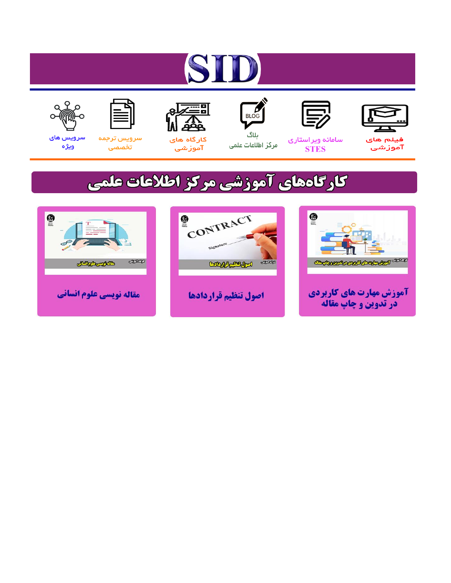# ST











مرکز اطلاعات علمی

 $\frac{1}{\sqrt{\frac{1}{100}}}$ ىلاگ



آموزشي

空

سرويس ترجمه تخصصى



سرویس های ويژه

## كارگاههای آموزشی مركز اطلاعات علمی





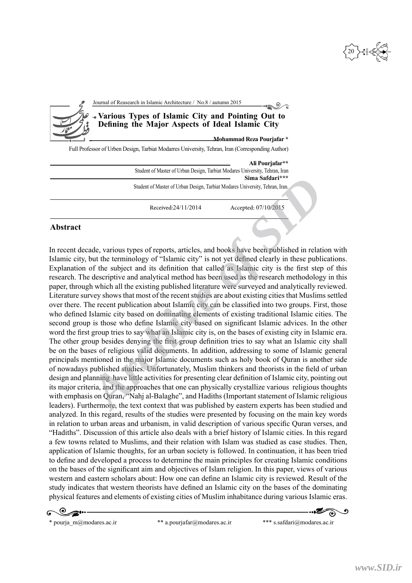20

| Journal of Reasearch in Islamic Architecture / No.8 / autumn 2015                                       |
|---------------------------------------------------------------------------------------------------------|
| - Various Types of Islamic City and Pointing Out to<br>Defining the Major Aspects of Ideal Islamic City |
| Mohammad Reza Pourjafar *                                                                               |
| Full Professor of Urben Design, Tarbiat Modarres University, Tehran, Iran (Corresponding Author)        |
| Ali Pourjafar**                                                                                         |
| Student of Master of Urban Design, Tarbiat Modares University, Tehran, Iran<br>Sima Safdari***          |

Student of Master of Urban Design, Tarbiat Modares University, Tehran, Iran.

### **Abstract**

In recent decade, various types of reports, articles, and books have been published in relation with Islamic city, but the terminology of "Islamic city" is not yet defined clearly in these publications. Explanation of the subject and its definition that called as Islamic city is the first step of this research. The descriptive and analytical method has been used as the research methodology in this paper, through which all the existing published literature were surveyed and analytically reviewed. Literature survey shows that most of the recent studies are about existing cities that Muslims settled over there. The recent publication about Islamic city can be classified into two groups. First, those who defined Islamic city based on dominating elements of existing traditional Islamic cities. The second group is those who define Islamic city based on significant Islamic advices. In the other word the first group tries to say what an Islamic city is, on the bases of existing city in Islamic era. The other group besides denying the first group definition tries to say what an Islamic city shall be on the bases of religious valid documents. In addition, addressing to some of Islamic general principals mentioned in the major Islamic documents such as holy book of Quran is another side of nowadays published studies. Unfortunately, Muslim thinkers and theorists in the field of urban design and planning have little activities for presenting clear definition of Islamic city, pointing out its major criteria, and the approaches that one can physically crystallize various religious thoughts with emphasis on Quran, "Nahj al-Balaghe", and Hadiths (Important statement of Islamic religious leaders). Furthermore, the text context that was published by eastern experts has been studied and analyzed. In this regard, results of the studies were presented by focusing on the main key words in relation to urban areas and urbanism, in valid description of various specific Quran verses, and "Hadiths". Discussion of this article also deals with a brief history of Islamic cities. In this regard a few towns related to Muslims, and their relation with Islam was studied as case studies. Then, application of Islamic thoughts, for an urban society is followed. In continuation, it has been tried to define and developed a process to determine the main principles for creating Islamic conditions on the bases of the significant aim and objectives of Islam religion. In this paper, views of various western and eastern scholars about: How one can define an Islamic city is reviewed. Result of the study indicates that western theorists have defined an Islamic city on the bases of the dominating physical features and elements of existing cities of Muslim inhabitance during various Islamic eras. Simal Simal Simal Simal Simal Simal Simal Simal Simal Simal Simal Simal Simal Simal Simal Received: 07/10/2015<br>
Received:24/11/2014 Accepted: 07/10/2015<br>
2016 Accepted: 07/10/2015<br>
2016 Accepted: 07/10/2015<br>
2016 Accepted:

\* pourja\_m@modares.ac.ir \*\* a.pourjafar@modares.ac.ir \*\*\* s.safdari@modares.ac.ir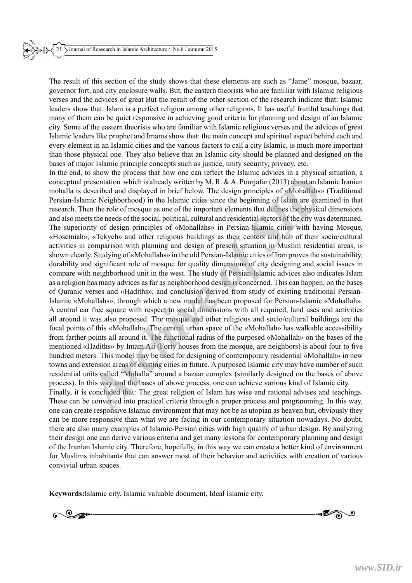The result of this section of the study shows that these elements are such as "Jame" mosque, bazaar, governor fort, and city enclosure walls. But, the eastern theorists who are familiar with Islamic religious verses and the advices of great But the result of the other section of the research indicate that: Islamic leaders show that: Islam is a perfect religion among other religions. It has useful fruitful teachings that many of them can be quiet responsive in achieving good criteria for planning and design of an Islamic city. Some of the eastern theorists who are familiar with Islamic religious verses and the advices of great Islamic leaders like prophet and Imams show that: the main concept and spiritual aspect behind each and every element in an Islamic cities and the various factors to call a city Islamic, is much more important than those physical one. They also believe that an Islamic city should be planned and designed on the bases of major Islamic principle concepts such as justice, unity security, privacy, etc.

In the end, to show the process that how one can reflect the Islamic advices in a physical situation, a conceptual presentation which is already written by M. R. & A. Pourjafar (2013) about an Islamic Iranian mohalla is described and displayed in brief below. The design principles of «Mohallahs» (Traditional Persian-Islamic Neighborhood) in the Islamic cities since the beginning of Islam are examined in that research. Then the role of mosque as one of the important elements that defines the physical dimensions and also meets the needs of the social, political, cultural and residential sectors of the city was determined. The superiority of design principles of «Mohallahs» in Persian-Islamic cities with having Mosque, «Hoseiniah», «Tekyeh» and other religious buildings as their centers and hub of their socio/cultural activities in comparison with planning and design of present situation in Muslim residential areas, is shown clearly. Studying of «Mohallahs» in the old Persian-Islamic cities of Iran proves the sustainability, durability and significant role of mosque for quality dimensions of city designing and social issues in compare with neighborhood unit in the west. The study of Persian-Islamic advices also indicates Islam as a religion has many advices as far as neighborhood design is concerned. This can happen, on the bases of Quranic verses and «Hadiths», and conclusion derived from study of existing traditional Persian-Islamic «Mohallahs», through which a new modal has been proposed for Persian-Islamic «Mohallah». A central car free square with respect to social dimensions with all required, land uses and activities all around it was also proposed. The mosque and other religious and socio/cultural buildings are the focal points of this «Mohallah». The central urban space of the «Mohallah» has walkable accessibility from farther points all around it. The functional radius of the purposed «Mohallah» on the bases of the mentioned «Hadiths» by Imam Ali (Forty houses from the mosque, are neighbors) is about four to five hundred meters. This model may be used for designing of contemporary residential «Mohallah» in new towns and extension areas of existing cities in future. A purposed Islamic city may have number of such residential units called "Mohalla" around a bazaar complex (similarly designed on the bases of above process). In this way and the bases of above process, one can achieve various kind of Islamic city. Finally, it is concluded that: The great religion of Islam has wise and rational advises and teachings. These can be converted into practical criteria through a proper process and programming. In this way, one can create responsive Islamic environment that may not be as utopian as heaven but, obviously they can be more responsive than what we are facing in our contemporary situation nowadays. No doubt, there are also many examples of Islamic-Persian cities with high quality of urban design. By analyzing their design one can derive various criteria and get many lessons for contemporary planning and design of the Iranian Islamic city. Therefore, hopefully, in this way we can create a better kind of environment for Muslims inhabitants that can answer most of their behavior and activities with creation of various resentation which is already written by M. R. & A. Pourjafar (2013) about an Islam<br>is elescribed and displayed in brief below. The design principles of «Mohallahs» (The setserbed and inclusive of the follow of the fillow o

convivial urban spaces.

**Keywords:**Islamic city, Islamic valuable document, Ideal Islamic city.

 $\bullet$ ි